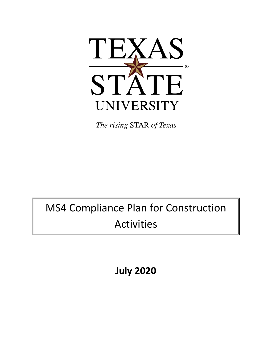

# MS4 Compliance Plan for Construction Activities

**July 2020**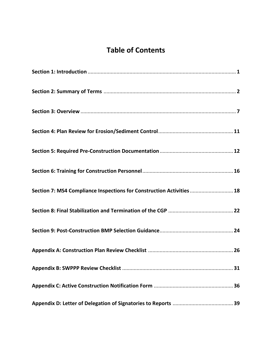# **Table of Contents**

| Section 7: MS4 Compliance Inspections for Construction Activities  18 |  |
|-----------------------------------------------------------------------|--|
|                                                                       |  |
|                                                                       |  |
|                                                                       |  |
|                                                                       |  |
|                                                                       |  |
|                                                                       |  |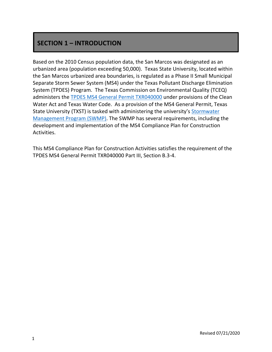### **SECTION 1 – INTRODUCTION**

Based on the 2010 Census population data, the San Marcos was designated as an urbanized area (population exceeding 50,000). Texas State University, located within the San Marcos urbanized area boundaries, is regulated as a Phase II Small Municipal Separate Storm Sewer System (MS4) under the Texas Pollutant Discharge Elimination System (TPDES) Program. The Texas Commission on Environmental Quality (TCEQ) administers the [TPDES MS4 General Permit TXR040000](https://gato-docs.its.txstate.edu/jcr:e0f8aa69-3ac2-43eb-b4e4-b16fa80f947f/txr040000-2019-issued-permit.pdf) under provisions of the Clean Water Act and Texas Water Code. As a provision of the MS4 General Permit, Texas State University (TXST) is tasked with administering the university's Stormwater [Management Program](https://gato-docs.its.txstate.edu/jcr:78f3c6aa-04b5-4a89-a3d4-6b930fdac43d/Texas%20State%20University%20SWMP_2015%20update.pdf) (SWMP). The SWMP has several requirements, including the development and implementation of the MS4 Compliance Plan for Construction Activities.

This MS4 Compliance Plan for Construction Activities satisfies the requirement of the TPDES MS4 General Permit TXR040000 Part III, Section B.3-4.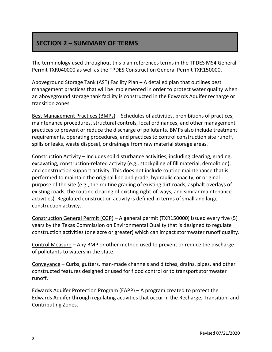### **SECTION 2 – SUMMARY OF TERMS**

The terminology used throughout this plan references terms in the TPDES MS4 General Permit TXR040000 as well as the TPDES Construction General Permit TXR150000.

Aboveground Storage Tank (AST) Facility Plan – A detailed plan that outlines best management practices that will be implemented in order to protect water quality when an aboveground storage tank facility is constructed in the Edwards Aquifer recharge or transition zones.

Best Management Practices (BMPs) – Schedules of activities, prohibitions of practices, maintenance procedures, structural controls, local ordinances, and other management practices to prevent or reduce the discharge of pollutants. BMPs also include treatment requirements, operating procedures, and practices to control construction site runoff, spills or leaks, waste disposal, or drainage from raw material storage areas.

Construction Activity – Includes soil disturbance activities, including clearing, grading, excavating, construction-related activity (e.g., stockpiling of fill material, demolition), and construction support activity. This does not include routine maintenance that is performed to maintain the original line and grade, hydraulic capacity, or original purpose of the site (e.g., the routine grading of existing dirt roads, asphalt overlays of existing roads, the routine clearing of existing right-of-ways, and similar maintenance activities). Regulated construction activity is defined in terms of small and large construction activity.

Construction General Permit (CGP) – A general permit (TXR150000) issued every five (5) years by the Texas Commission on Environmental Quality that is designed to regulate construction activities (one acre or greater) which can impact stormwater runoff quality.

Control Measure – Any BMP or other method used to prevent or reduce the discharge of pollutants to waters in the state.

Conveyance – Curbs, gutters, man-made channels and ditches, drains, pipes, and other constructed features designed or used for flood control or to transport stormwater runoff.

Edwards Aquifer Protection Program (EAPP) – A program created to protect the Edwards Aquifer through regulating activities that occur in the Recharge, Transition, and Contributing Zones.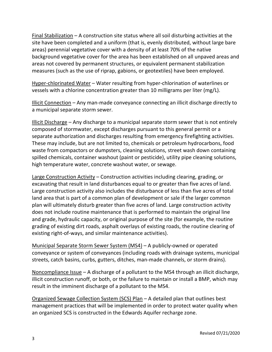Final Stabilization – A construction site status where all soil disturbing activities at the site have been completed and a uniform (that is, evenly distributed, without large bare areas) perennial vegetative cover with a density of at least 70% of the native background vegetative cover for the area has been established on all unpaved areas and areas not covered by permanent structures, or equivalent permanent stabilization measures (such as the use of riprap, gabions, or geotextiles) have been employed.

Hyper-chlorinated Water – Water resulting from hyper-chlorination of waterlines or vessels with a chlorine concentration greater than 10 milligrams per liter (mg/L).

Illicit Connection – Any man-made conveyance connecting an illicit discharge directly to a municipal separate storm sewer.

Illicit Discharge – Any discharge to a municipal separate storm sewer that is not entirely composed of stormwater, except discharges pursuant to this general permit or a separate authorization and discharges resulting from emergency firefighting activities. These may include, but are not limited to, chemicals or petroleum hydrocarbons, food waste from compactors or dumpsters, cleaning solutions, street wash down containing spilled chemicals, container washout (paint or pesticide), utility pipe cleaning solutions, high temperature water, concrete washout water, or sewage.

Large Construction Activity – Construction activities including clearing, grading, or excavating that result in land disturbances equal to or greater than five acres of land. Large construction activity also includes the disturbance of less than five acres of total land area that is part of a common plan of development or sale if the larger common plan will ultimately disturb greater than five acres of land. Large construction activity does not include routine maintenance that is performed to maintain the original line and grade, hydraulic capacity, or original purpose of the site (for example, the routine grading of existing dirt roads, asphalt overlays of existing roads, the routine clearing of existing right-of-ways, and similar maintenance activities).

Municipal Separate Storm Sewer System (MS4) – A publicly-owned or operated conveyance or system of conveyances (including roads with drainage systems, municipal streets, catch basins, curbs, gutters, ditches, man-made channels, or storm drains).

Noncompliance Issue – A discharge of a pollutant to the MS4 through an illicit discharge, illicit construction runoff, or both, or the failure to maintain or install a BMP, which may result in the imminent discharge of a pollutant to the MS4.

Organized Sewage Collection System (SCS) Plan – A detailed plan that outlines best management practices that will be implemented in order to protect water quality when an organized SCS is constructed in the Edwards Aquifer recharge zone.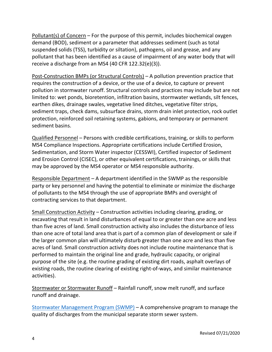Pollutant(s) of Concern – For the purpose of this permit, includes biochemical oxygen demand (BOD), sediment or a parameter that addresses sediment (such as total suspended solids (TSS), turbidity or siltation), pathogens, oil and grease, and any pollutant that has been identified as a cause of impairment of any water body that will receive a discharge from an MS4 (40 CFR 122.32(e)(3)).

Post-Construction BMPs (or Structural Controls) – A pollution prevention practice that requires the construction of a device, or the use of a device, to capture or prevent pollution in stormwater runoff. Structural controls and practices may include but are not limited to: wet ponds, bioretention, infiltration basins, stormwater wetlands, silt fences, earthen dikes, drainage swales, vegetative lined ditches, vegetative filter strips, sediment traps, check dams, subsurface drains, storm drain inlet protection, rock outlet protection, reinforced soil retaining systems, gabions, and temporary or permanent sediment basins.

Qualified Personnel – Persons with credible certifications, training, or skills to perform MS4 Compliance Inspections. Appropriate certifications include Certified Erosion, Sedimentation, and Storm Water inspector (CESSWI), Certified inspector of Sediment and Erosion Control (CISEC), or other equivalent certifications, trainings, or skills that may be approved by the MS4 operator or MS4 responsible authority.

Responsible Department – A department identified in the SWMP as the responsible party or key personnel and having the potential to eliminate or minimize the discharge of pollutants to the MS4 through the use of appropriate BMPs and oversight of contracting services to that department.

Small Construction Activity – Construction activities including clearing, grading, or excavating that result in land disturbances of equal to or greater than one acre and less than five acres of land. Small construction activity also includes the disturbance of less than one acre of total land area that is part of a common plan of development or sale if the larger common plan will ultimately disturb greater than one acre and less than five acres of land. Small construction activity does not include routine maintenance that is performed to maintain the original line and grade, hydraulic capacity, or original purpose of the site (e.g. the routine grading of existing dirt roads, asphalt overlays of existing roads, the routine clearing of existing right-of-ways, and similar maintenance activities).

Stormwater or Stormwater Runoff – Rainfall runoff, snow melt runoff, and surface runoff and drainage.

[Stormwater Management Program \(SWMP\)](http://www.fss.txstate.edu/ehsrm/programs/storm.html) – A comprehensive program to manage the quality of discharges from the municipal separate storm sewer system.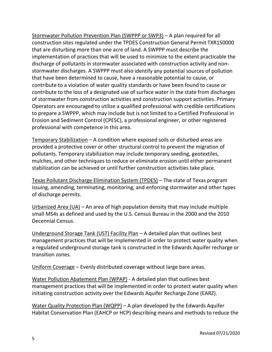Stormwater Pollution Prevention Plan (SWPPP or SWP3) – A plan required for all construction sites regulated under the TPDES Construction General Permit TXR150000 that are disturbing more than one acre of land. A SWPPP must describe the implementation of practices that will be used to minimize to the extent practicable the discharge of pollutants in stormwater associated with construction activity and nonstormwater discharges. A SWPPP must also identify any potential sources of pollution that have been determined to cause, have a reasonable potential to cause, or contribute to a violation of water quality standards or have been found to cause or contribute to the loss of a designated use of surface water in the state from discharges of stormwater from construction activities and construction support activities. Primary Operators are encouraged to utilize a qualified professional with credible certifications to prepare a SWPPP, which may include but is not limited to a Certified Professional in Erosion and Sediment Control (CPESC), a professional engineer, or other registered professional with competence in this area.

Temporary Stabilization – A condition where exposed soils or disturbed areas are provided a protective cover or other structural control to prevent the migration of pollutants. Temporary stabilization may include temporary seeding, geotextiles, mulches, and other techniques to reduce or eliminate erosion until either permanent stabilization can be achieved or until further construction activities take place.

Texas Pollutant Discharge Elimination System (TPDES) – The state of Texas program issuing, amending, terminating, monitoring, and enforcing stormwater and other types of discharge permits.

Urbanized Area  $(UA)$  – An area of high population density that may include multiple small MS4s as defined and used by the U.S. Census Bureau in the 2000 and the 2010 Decennial Census.

Underground Storage Tank (UST) Facility Plan – A detailed plan that outlines best management practices that will be implemented in order to protect water quality when a regulated underground storage tank is constructed in the Edwards Aquifer recharge or transition zones.

Uniform Coverage – Evenly distributed coverage without large bare areas.

Water Pollution Abatement Plan (WPAP) - A detailed plan that outlines best management practices that will be implemented in order to protect water quality when initiating construction activity over the Edwards Aquifer Recharge Zone (EARZ).

Water Quality Protection Plan (WQPP) - A plan developed by the Edwards Aquifer Habitat Conservation Plan (EAHCP or HCP) describing means and methods to reduce the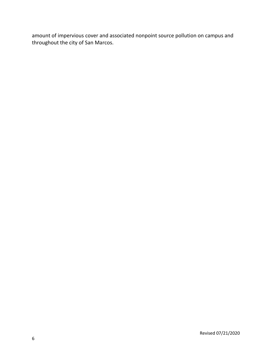amount of impervious cover and associated nonpoint source pollution on campus and throughout the city of San Marcos.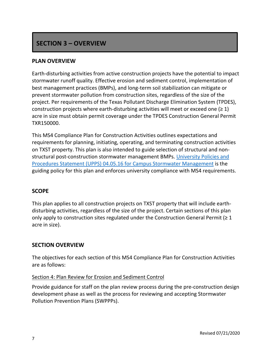### **SECTION 3 – OVERVIEW**

### **PLAN OVERVIEW**

Earth-disturbing activities from active construction projects have the potential to impact stormwater runoff quality. Effective erosion and sediment control, implementation of best management practices (BMPs), and long-term soil stabilization can mitigate or prevent stormwater pollution from construction sites, regardless of the size of the project. Per requirements of the Texas Pollutant Discharge Elimination System (TPDES), construction projects where earth-disturbing activities will meet or exceed one  $(≥ 1)$ acre in size must obtain permit coverage under the TPDES Construction General Permit TXR150000.

This MS4 Compliance Plan for Construction Activities outlines expectations and requirements for planning, initiating, operating, and terminating construction activities on TXST property. This plan is also intended to guide selection of structural and nonstructural post-construction stormwater management BMPs. [University Policies and](https://policies.txstate.edu/university-policies/04-05-16.html)  [Procedures Statement \(UPPS\) 04.05.16 for Campus Stormwater Management](https://policies.txstate.edu/university-policies/04-05-16.html) is the guiding policy for this plan and enforces university compliance with MS4 requirements.

### **SCOPE**

This plan applies to all construction projects on TXST property that will include earthdisturbing activities, regardless of the size of the project. Certain sections of this plan only apply to construction sites regulated under the Construction General Permit ( $\geq 1$ ) acre in size).

### **SECTION OVERVIEW**

The objectives for each section of this MS4 Compliance Plan for Construction Activities are as follows:

#### Section 4: Plan Review for Erosion and Sediment Control

Provide guidance for staff on the plan review process during the pre-construction design development phase as well as the process for reviewing and accepting Stormwater Pollution Prevention Plans (SWPPPs).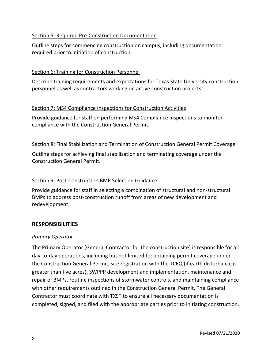### Section 5: Required Pre-Construction Documentation

Outline steps for commencing construction on campus, including documentation required prior to initiation of construction.

### Section 6: Training for Construction Personnel

Describe training requirements and expectations for Texas State University construction personnel as well as contractors working on active construction projects.

### Section 7: MS4 Compliance Inspections for Construction Activities

Provide guidance for staff on performing MS4 Compliance Inspections to monitor compliance with the Construction General Permit.

### Section 8: Final Stabilization and Termination of Construction General Permit Coverage

Outline steps for achieving final stabilization and terminating coverage under the Construction General Permit.

### Section 9: Post-Construction BMP Selection Guidance

Provide guidance for staff in selecting a combination of structural and non-structural BMPs to address post-construction runoff from areas of new development and redevelopment.

### **RESPONSIBILITIES**

#### *Primary Operator*

The Primary Operator (General Contractor for the construction site) is responsible for all day-to-day operations, including but not limited to: obtaining permit coverage under the Construction General Permit, site registration with the TCEQ (if earth disturbance is greater than five acres), SWPPP development and implementation, maintenance and repair of BMPs, routine inspections of stormwater controls, and maintaining compliance with other requirements outlined in the Construction General Permit. The General Contractor must coordinate with TXST to ensure all necessary documentation is completed, signed, and filed with the appropriate parties prior to initiating construction.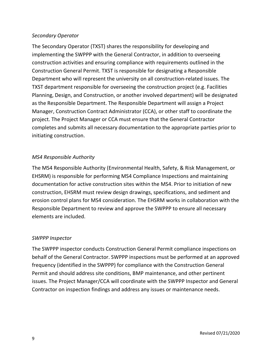### *Secondary Operator*

The Secondary Operator (TXST) shares the responsibility for developing and implementing the SWPPP with the General Contractor, in addition to overseeing construction activities and ensuring compliance with requirements outlined in the Construction General Permit. TXST is responsible for designating a Responsible Department who will represent the university on all construction-related issues. The TXST department responsible for overseeing the construction project (e.g. Facilities Planning, Design, and Construction, or another involved department) will be designated as the Responsible Department. The Responsible Department will assign a Project Manager, Construction Contract Administrator (CCA), or other staff to coordinate the project. The Project Manager or CCA must ensure that the General Contractor completes and submits all necessary documentation to the appropriate parties prior to initiating construction.

### *MS4 Responsible Authority*

The MS4 Responsible Authority (Environmental Health, Safety, & Risk Management, or EHSRM) is responsible for performing MS4 Compliance Inspections and maintaining documentation for active construction sites within the MS4. Prior to initiation of new construction, EHSRM must review design drawings, specifications, and sediment and erosion control plans for MS4 consideration. The EHSRM works in collaboration with the Responsible Department to review and approve the SWPPP to ensure all necessary elements are included.

### *SWPPP Inspector*

The SWPPP inspector conducts Construction General Permit compliance inspections on behalf of the General Contractor. SWPPP inspections must be performed at an approved frequency (identified in the SWPPP) for compliance with the Construction General Permit and should address site conditions, BMP maintenance, and other pertinent issues. The Project Manager/CCA will coordinate with the SWPPP Inspector and General Contractor on inspection findings and address any issues or maintenance needs.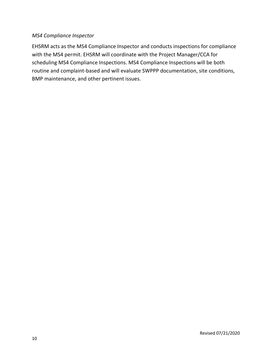### *MS4 Compliance Inspector*

EHSRM acts as the MS4 Compliance Inspector and conducts inspections for compliance with the MS4 permit. EHSRM will coordinate with the Project Manager/CCA for scheduling MS4 Compliance Inspections. MS4 Compliance Inspections will be both routine and complaint-based and will evaluate SWPPP documentation, site conditions, BMP maintenance, and other pertinent issues.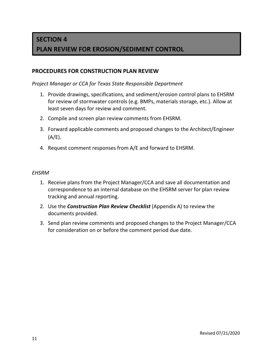### **SECTION 4**

### **PLAN REVIEW FOR EROSION/SEDIMENT CONTROL**

### **PROCEDURES FOR CONSTRUCTION PLAN REVIEW**

#### *Project Manager or CCA for Texas State Responsible Department*

- 1. Provide drawings, specifications, and sediment/erosion control plans to EHSRM for review of stormwater controls (e.g. BMPs, materials storage, etc.). Allow at least seven days for review and comment.
- 2. Compile and screen plan review comments from EHSRM.
- 3. Forward applicable comments and proposed changes to the Architect/Engineer  $(A/E)$ .
- 4. Request comment responses from A/E and forward to EHSRM.

#### *EHSRM*

- 1. Receive plans from the Project Manager/CCA and save all documentation and correspondence to an internal database on the EHSRM server for plan review tracking and annual reporting.
- 2. Use the *Construction Plan Review Checklist* (Appendix A) to review the documents provided.
- 3. Send plan review comments and proposed changes to the Project Manager/CCA for consideration on or before the comment period due date.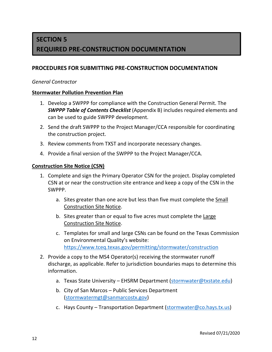# **SECTION 5 REQUIRED PRE-CONSTRUCTION DOCUMENTATION**

### **PROCEDURES FOR SUBMITTING PRE-CONSTRUCTION DOCUMENTATION**

#### *General Contractor*

#### **Stormwater Pollution Prevention Plan**

- 1. Develop a SWPPP for compliance with the Construction General Permit. The *SWPPP Table of Contents Checklist* (Appendix B) includes required elements and can be used to guide SWPPP development.
- 2. Send the draft SWPPP to the Project Manager/CCA responsible for coordinating the construction project.
- 3. Review comments from TXST and incorporate necessary changes.
- 4. Provide a final version of the SWPPP to the Project Manager/CCA.

#### **Construction Site Notice (CSN)**

- 1. Complete and sign the Primary Operator CSN for the project. Display completed CSN at or near the construction site entrance and keep a copy of the CSN in the SWPPP.
	- a. Sites greater than one acre but less than five must complete the Small Construction Site Notice.
	- b. Sites greater than or equal to five acres must complete the Large Construction Site Notice.
	- c. Templates for small and large CSNs can be found on the Texas Commission on Environmental Quality's website: <https://www.tceq.texas.gov/permitting/stormwater/construction>
- 2. Provide a copy to the MS4 Operator(s) receiving the stormwater runoff discharge, as applicable. Refer to jurisdiction boundaries maps to determine this information.
	- a. Texas State University EHSRM Department [\(stormwater@txstate.edu\)](mailto:stormwater@txstate.edu)
	- b. City of San Marcos Public Services Department [\(stormwatermgt@sanmarcostx.gov\)](mailto:stormwatermgt@sanmarcostx.gov)
	- c. Hays County Transportation Department [\(stormwater@co.hays.tx.us\)](mailto:stormwater@co.hays.tx.us)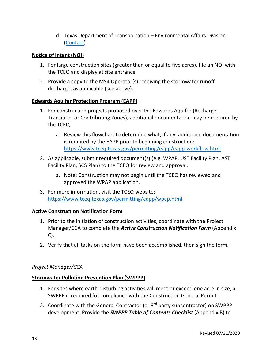d. Texas Department of Transportation – Environmental Affairs Division [\(Contact\)](https://www.txdot.gov/contact-us/form.html?id=swp-email)

### **Notice of Intent (NOI)**

- 1. For large construction sites (greater than or equal to five acres), file an NOI with the TCEQ and display at site entrance.
- 2. Provide a copy to the MS4 Operator(s) receiving the stormwater runoff discharge, as applicable (see above).

### **Edwards Aquifer Protection Program (EAPP)**

- 1. For construction projects proposed over the Edwards Aquifer (Recharge, Transition, or Contributing Zones), additional documentation may be required by the TCEQ.
	- a. Review this flowchart to determine what, if any, additional documentation is required by the EAPP prior to beginning construction: <https://www.tceq.texas.gov/permitting/eapp/eapp-workflow.html>
- 2. As applicable, submit required document(s) (e.g. WPAP, UST Facility Plan, AST Facility Plan, SCS Plan) to the TCEQ for review and approval.
	- a. Note: Construction may not begin until the TCEQ has reviewed and approved the WPAP application.
- 3. For more information, visit the TCEQ website: [https://www.tceq.texas.gov/permitting/eapp/wpap.html.](https://www.tceq.texas.gov/permitting/eapp/wpap.html)

### **Active Construction Notification Form**

- 1. Prior to the initiation of construction activities, coordinate with the Project Manager/CCA to complete the *Active Construction Notification Form* (Appendix C).
- 2. Verify that all tasks on the form have been accomplished, then sign the form.

### *Project Manager/CCA*

#### **Stormwater Pollution Prevention Plan (SWPPP)**

- 1. For sites where earth-disturbing activities will meet or exceed one acre in size, a SWPPP is required for compliance with the Construction General Permit.
- 2. Coordinate with the General Contractor (or 3<sup>rd</sup> party subcontractor) on SWPPP development. Provide the *SWPPP Table of Contents Checklist* (Appendix B) to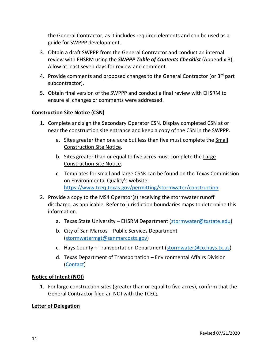the General Contractor, as it includes required elements and can be used as a guide for SWPPP development.

- 3. Obtain a draft SWPPP from the General Contractor and conduct an internal review with EHSRM using the *SWPPP Table of Contents Checklist* (Appendix B). Allow at least seven days for review and comment.
- 4. Provide comments and proposed changes to the General Contractor (or 3<sup>rd</sup> part subcontractor).
- 5. Obtain final version of the SWPPP and conduct a final review with EHSRM to ensure all changes or comments were addressed.

### **Construction Site Notice (CSN)**

- 1. Complete and sign the Secondary Operator CSN. Display completed CSN at or near the construction site entrance and keep a copy of the CSN in the SWPPP.
	- a. Sites greater than one acre but less than five must complete the Small Construction Site Notice.
	- b. Sites greater than or equal to five acres must complete the Large Construction Site Notice.
	- c. Templates for small and large CSNs can be found on the Texas Commission on Environmental Quality's website: <https://www.tceq.texas.gov/permitting/stormwater/construction>
- 2. Provide a copy to the MS4 Operator(s) receiving the stormwater runoff discharge, as applicable. Refer to jurisdiction boundaries maps to determine this information.
	- a. Texas State University EHSRM Department [\(stormwater@txstate.edu\)](mailto:stormwater@txstate.edu)
	- b. City of San Marcos Public Services Department [\(stormwatermgt@sanmarcostx.gov\)](mailto:stormwatermgt@sanmarcostx.gov)
	- c. Hays County Transportation Department [\(stormwater@co.hays.tx.us\)](mailto:stormwater@co.hays.tx.us)
	- d. Texas Department of Transportation Environmental Affairs Division [\(Contact\)](https://www.txdot.gov/contact-us/form.html?id=swp-email)

### **Notice of Intent (NOI)**

1. For large construction sites (greater than or equal to five acres), confirm that the General Contractor filed an NOI with the TCEQ.

### **Letter of Delegation**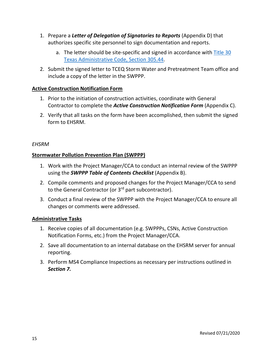- 1. Prepare a *Letter of Delegation of Signatories to Reports* (Appendix D) that authorizes specific site personnel to sign documentation and reports.
	- a. The letter should be site-specific and signed in accordance with Title 30 [Texas Administrative Code, Section 305.44.](https://www.tceq.texas.gov/assets/public/permitting/stormwater/305.pdf)
- 2. Submit the signed letter to TCEQ Storm Water and Pretreatment Team office and include a copy of the letter in the SWPPP.

### **Active Construction Notification Form**

- 1. Prior to the initiation of construction activities, coordinate with General Contractor to complete the *Active Construction Notification Form* (Appendix C).
- 2. Verify that all tasks on the form have been accomplished, then submit the signed form to EHSRM.

### *EHSRM*

### **Stormwater Pollution Prevention Plan (SWPPP)**

- 1. Work with the Project Manager/CCA to conduct an internal review of the SWPPP using the *SWPPP Table of Contents Checklist* (Appendix B).
- 2. Compile comments and proposed changes for the Project Manager/CCA to send to the General Contractor (or  $3<sup>rd</sup>$  part subcontractor).
- 3. Conduct a final review of the SWPPP with the Project Manager/CCA to ensure all changes or comments were addressed.

### **Administrative Tasks**

- 1. Receive copies of all documentation (e.g. SWPPPs, CSNs, Active Construction Notification Forms, etc.) from the Project Manager/CCA.
- 2. Save all documentation to an internal database on the EHSRM server for annual reporting.
- 3. Perform MS4 Compliance Inspections as necessary per instructions outlined in *Section 7.*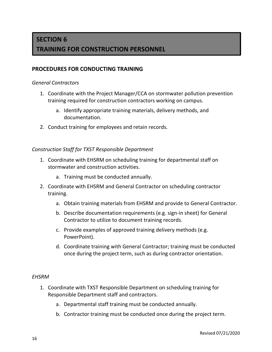# **SECTION 6 TRAINING FOR CONSTRUCTION PERSONNEL**

### **PROCEDURES FOR CONDUCTING TRAINING**

#### *General Contractors*

- 1. Coordinate with the Project Manager/CCA on stormwater pollution prevention training required for construction contractors working on campus.
	- a. Identify appropriate training materials, delivery methods, and documentation.
- 2. Conduct training for employees and retain records.

#### *Construction Staff for TXST Responsible Department*

- 1. Coordinate with EHSRM on scheduling training for departmental staff on stormwater and construction activities.
	- a. Training must be conducted annually.
- 2. Coordinate with EHSRM and General Contractor on scheduling contractor training.
	- a. Obtain training materials from EHSRM and provide to General Contractor.
	- b. Describe documentation requirements (e.g. sign-in sheet) for General Contractor to utilize to document training records.
	- c. Provide examples of approved training delivery methods (e.g. PowerPoint).
	- d. Coordinate training with General Contractor; training must be conducted once during the project term, such as during contractor orientation.

#### *EHSRM*

- 1. Coordinate with TXST Responsible Department on scheduling training for Responsible Department staff and contractors.
	- a. Departmental staff training must be conducted annually.
	- b. Contractor training must be conducted once during the project term.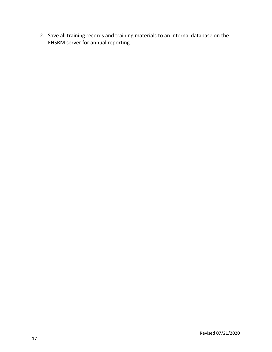2. Save all training records and training materials to an internal database on the EHSRM server for annual reporting.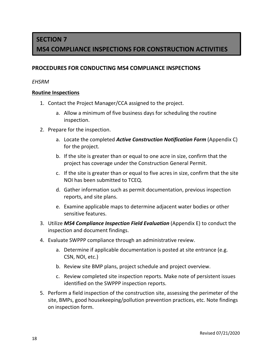# **SECTION 7 MS4 COMPLIANCE INSPECTIONS FOR CONSTRUCTION ACTIVITIES**

### **PROCEDURES FOR CONDUCTING MS4 COMPLIANCE INSPECTIONS**

### *EHSRM*

### **Routine Inspections**

- 1. Contact the Project Manager/CCA assigned to the project.
	- a. Allow a minimum of five business days for scheduling the routine inspection.
- 2. Prepare for the inspection.
	- a. Locate the completed *Active Construction Notification Form* (Appendix C) for the project.
	- b. If the site is greater than or equal to one acre in size, confirm that the project has coverage under the Construction General Permit.
	- c. If the site is greater than or equal to five acres in size, confirm that the site NOI has been submitted to TCEQ.
	- d. Gather information such as permit documentation, previous inspection reports, and site plans.
	- e. Examine applicable maps to determine adjacent water bodies or other sensitive features.
- 3. Utilize *MS4 Compliance Inspection Field Evaluation* (Appendix E) to conduct the inspection and document findings.
- 4. Evaluate SWPPP compliance through an administrative review.
	- a. Determine if applicable documentation is posted at site entrance (e.g. CSN, NOI, etc.)
	- b. Review site BMP plans, project schedule and project overview.
	- c. Review completed site inspection reports. Make note of persistent issues identified on the SWPPP inspection reports.
- 5. Perform a field inspection of the construction site, assessing the perimeter of the site, BMPs, good housekeeping/pollution prevention practices, etc. Note findings on inspection form.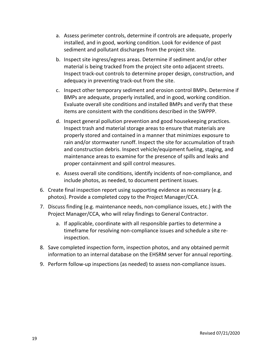- a. Assess perimeter controls, determine if controls are adequate, properly installed, and in good, working condition. Look for evidence of past sediment and pollutant discharges from the project site.
- b. Inspect site ingress/egress areas. Determine if sediment and/or other material is being tracked from the project site onto adjacent streets. Inspect track-out controls to determine proper design, construction, and adequacy in preventing track-out from the site.
- c. Inspect other temporary sediment and erosion control BMPs. Determine if BMPs are adequate, properly installed, and in good, working condition. Evaluate overall site conditions and installed BMPs and verify that these items are consistent with the conditions described in the SWPPP.
- d. Inspect general pollution prevention and good housekeeping practices. Inspect trash and material storage areas to ensure that materials are properly stored and contained in a manner that minimizes exposure to rain and/or stormwater runoff. Inspect the site for accumulation of trash and construction debris. Inspect vehicle/equipment fueling, staging, and maintenance areas to examine for the presence of spills and leaks and proper containment and spill control measures.
- e. Assess overall site conditions, identify incidents of non-compliance, and include photos, as needed, to document pertinent issues.
- 6. Create final inspection report using supporting evidence as necessary (e.g. photos). Provide a completed copy to the Project Manager/CCA.
- 7. Discuss finding (e.g. maintenance needs, non-compliance issues, etc.) with the Project Manager/CCA, who will relay findings to General Contractor.
	- a. If applicable, coordinate with all responsible parties to determine a timeframe for resolving non-compliance issues and schedule a site reinspection.
- 8. Save completed inspection form, inspection photos, and any obtained permit information to an internal database on the EHSRM server for annual reporting.
- 9. Perform follow-up inspections (as needed) to assess non-compliance issues.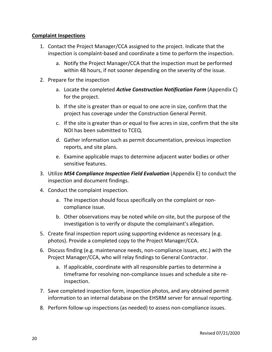### **Complaint Inspections**

- 1. Contact the Project Manager/CCA assigned to the project. Indicate that the inspection is complaint-based and coordinate a time to perform the inspection.
	- a. Notify the Project Manager/CCA that the inspection must be performed within 48 hours, if not sooner depending on the severity of the issue.
- 2. Prepare for the inspection
	- a. Locate the completed *Active Construction Notification Form* (Appendix C) for the project.
	- b. If the site is greater than or equal to one acre in size, confirm that the project has coverage under the Construction General Permit.
	- c. If the site is greater than or equal to five acres in size, confirm that the site NOI has been submitted to TCEQ.
	- d. Gather information such as permit documentation, previous inspection reports, and site plans.
	- e. Examine applicable maps to determine adjacent water bodies or other sensitive features.
- 3. Utilize *MS4 Compliance Inspection Field Evaluation* (Appendix E) to conduct the inspection and document findings.
- 4. Conduct the complaint inspection.
	- a. The inspection should focus specifically on the complaint or noncompliance issue.
	- b. Other observations may be noted while on-site, but the purpose of the investigation is to verify or dispute the complainant's allegation.
- 5. Create final inspection report using supporting evidence as necessary (e.g. photos). Provide a completed copy to the Project Manager/CCA.
- 6. Discuss finding (e.g. maintenance needs, non-compliance issues, etc.) with the Project Manager/CCA, who will relay findings to General Contractor.
	- a. If applicable, coordinate with all responsible parties to determine a timeframe for resolving non-compliance issues and schedule a site reinspection.
- 7. Save completed inspection form, inspection photos, and any obtained permit information to an internal database on the EHSRM server for annual reporting.
- 8. Perform follow-up inspections (as needed) to assess non-compliance issues.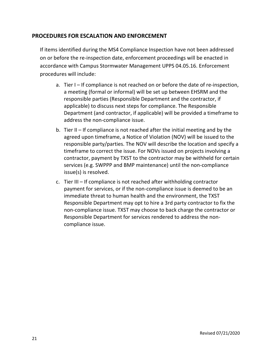### **PROCEDURES FOR ESCALATION AND ENFORCEMENT**

If items identified during the MS4 Compliance Inspection have not been addressed on or before the re-inspection date, enforcement proceedings will be enacted in accordance with Campus Stormwater Management UPPS 04.05.16. Enforcement procedures will include:

- a. Tier I If compliance is not reached on or before the date of re-inspection, a meeting (formal or informal) will be set up between EHSRM and the responsible parties (Responsible Department and the contractor, if applicable) to discuss next steps for compliance. The Responsible Department (and contractor, if applicable) will be provided a timeframe to address the non-compliance issue.
- b. Tier II If compliance is not reached after the initial meeting and by the agreed upon timeframe, a Notice of Violation (NOV) will be issued to the responsible party/parties. The NOV will describe the location and specify a timeframe to correct the issue. For NOVs issued on projects involving a contractor, payment by TXST to the contractor may be withheld for certain services (e.g. SWPPP and BMP maintenance) until the non-compliance issue(s) is resolved.
- c. Tier III If compliance is not reached after withholding contractor payment for services, or if the non-compliance issue is deemed to be an immediate threat to human health and the environment, the TXST Responsible Department may opt to hire a 3rd party contractor to fix the non-compliance issue. TXST may choose to back charge the contractor or Responsible Department for services rendered to address the noncompliance issue.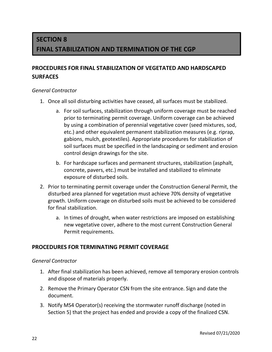# **SECTION 8 FINAL STABILIZATION AND TERMINATION OF THE CGP**

### **PROCEDURES FOR FINAL STABILIZATION OF VEGETATED AND HARDSCAPED SURFACES**

### *General Contractor*

- 1. Once all soil disturbing activities have ceased, all surfaces must be stabilized.
	- a. For soil surfaces, stabilization through uniform coverage must be reached prior to terminating permit coverage. Uniform coverage can be achieved by using a combination of perennial vegetative cover (seed mixtures, sod, etc.) and other equivalent permanent stabilization measures (e.g. riprap, gabions, mulch, geotextiles). Appropriate procedures for stabilization of soil surfaces must be specified in the landscaping or sediment and erosion control design drawings for the site.
	- b. For hardscape surfaces and permanent structures, stabilization (asphalt, concrete, pavers, etc.) must be installed and stabilized to eliminate exposure of disturbed soils.
- 2. Prior to terminating permit coverage under the Construction General Permit, the disturbed area planned for vegetation must achieve 70% density of vegetative growth. Uniform coverage on disturbed soils must be achieved to be considered for final stabilization.
	- a. In times of drought, when water restrictions are imposed on establishing new vegetative cover, adhere to the most current Construction General Permit requirements.

### **PROCEDURES FOR TERMINATING PERMIT COVERAGE**

#### *General Contractor*

- 1. After final stabilization has been achieved, remove all temporary erosion controls and dispose of materials properly.
- 2. Remove the Primary Operator CSN from the site entrance. Sign and date the document.
- 3. Notify MS4 Operator(s) receiving the stormwater runoff discharge (noted in Section 5) that the project has ended and provide a copy of the finalized CSN.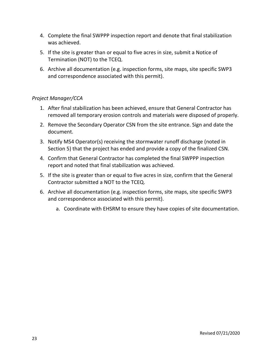- 4. Complete the final SWPPP inspection report and denote that final stabilization was achieved.
- 5. If the site is greater than or equal to five acres in size, submit a Notice of Termination (NOT) to the TCEQ.
- 6. Archive all documentation (e.g. inspection forms, site maps, site specific SWP3 and correspondence associated with this permit).

### *Project Manager/CCA*

- 1. After final stabilization has been achieved, ensure that General Contractor has removed all temporary erosion controls and materials were disposed of properly.
- 2. Remove the Secondary Operator CSN from the site entrance. Sign and date the document.
- 3. Notify MS4 Operator(s) receiving the stormwater runoff discharge (noted in Section 5) that the project has ended and provide a copy of the finalized CSN.
- 4. Confirm that General Contractor has completed the final SWPPP inspection report and noted that final stabilization was achieved.
- 5. If the site is greater than or equal to five acres in size, confirm that the General Contractor submitted a NOT to the TCEQ.
- 6. Archive all documentation (e.g. inspection forms, site maps, site specific SWP3 and correspondence associated with this permit).
	- a. Coordinate with EHSRM to ensure they have copies of site documentation.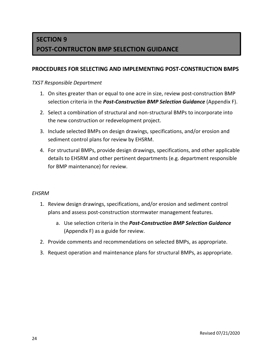# **SECTION 9 POST-CONTRUCTON BMP SELECTION GUIDANCE**

### **PROCEDURES FOR SELECTING AND IMPLEMENTING POST-CONSTRUCTION BMPS**

### *TXST Responsible Department*

- 1. On sites greater than or equal to one acre in size, review post-construction BMP selection criteria in the *Post-Construction BMP Selection Guidance* (Appendix F).
- 2. Select a combination of structural and non-structural BMPs to incorporate into the new construction or redevelopment project.
- 3. Include selected BMPs on design drawings, specifications, and/or erosion and sediment control plans for review by EHSRM.
- 4. For structural BMPs, provide design drawings, specifications, and other applicable details to EHSRM and other pertinent departments (e.g. department responsible for BMP maintenance) for review.

### *EHSRM*

- 1. Review design drawings, specifications, and/or erosion and sediment control plans and assess post-construction stormwater management features.
	- a. Use selection criteria in the *Post-Construction BMP Selection Guidance* (Appendix F) as a guide for review.
- 2. Provide comments and recommendations on selected BMPs, as appropriate.
- 3. Request operation and maintenance plans for structural BMPs, as appropriate.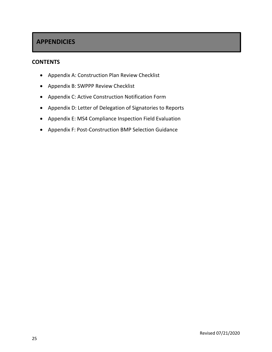### **APPENDICIES**

### **CONTENTS**

- Appendix A: Construction Plan Review Checklist
- Appendix B: SWPPP Review Checklist
- Appendix C: Active Construction Notification Form
- Appendix D: Letter of Delegation of Signatories to Reports
- Appendix E: MS4 Compliance Inspection Field Evaluation
- Appendix F: Post-Construction BMP Selection Guidance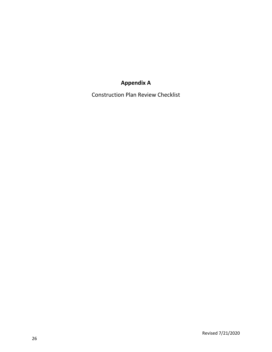# **Appendix A**

Construction Plan Review Checklist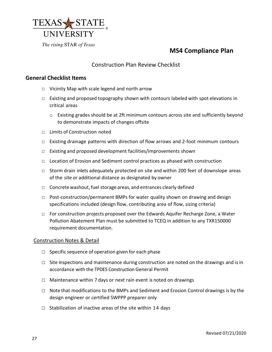

### **MS4 Compliance Plan**

### Construction Plan Review Checklist

### **General Checklist Items**

- □ Vicinity Map with scale legend and north arrow
- $\Box$  Existing and proposed topography shown with contours labeled with spot elevations in critical areas
	- o Existing grades should be at 2ft minimum contours across site and sufficiently beyond to demonstrate impacts of changes offsite
- □ Limits of Construction noted
- □ Existing drainage patterns with direction of flow arrows and 2-foot minimum contours
- □ Existing and proposed development facilities/improvements shown
- □ Location of Erosion and Sediment control practices as phased with construction
- □ Storm drain inlets adequately protected on site and within 200 feet of downslope areas of the site or additional distance as designated by owner
- □ Concrete washout, fuel storage areas, and entrances clearly defined
- $\Box$  Post-construction/permanent BMPs for water quality shown on drawing and design specifications included (design flow, contributing area of flow, sizing criteria)
- $\Box$  For construction projects proposed over the Edwards Aquifer Recharge Zone, a Water Pollution Abatement Plan must be submitted to TCEQ in addition to any TXR150000 requirement documentation.

#### Construction Notes & Detail

- $\Box$  Specific sequence of operation given for each phase
- $\Box$  Site inspections and maintenance during construction are noted on the drawings and is in accordance with the TPDES Construction General Permit
- $\Box$  Maintenance within 7 days or next rain event is noted on drawings
- $\Box$  Note that modifications to the BMPs and Sediment and Erosion Control drawings is by the design engineer or certified SWPPP preparer only
- $\Box$  Stabilization of inactive areas of the site within 14 days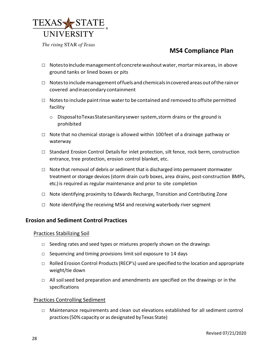

### **MS4 Compliance Plan**

- $\Box$  Notes to include management of concrete washout water, mortar mix areas, in above ground tanks or lined boxes or pits
- $\Box$  Notes to include management of fuels and chemicals in covered areas out of the rain or covered and in secondary containment
- □ Notes to include paint rinse water to be contained and removed to offsite permitted facility
	- o DisposaltoTexasStatesanitarysewer system,storm drains or the ground is prohibited
- □ Note that no chemical storage is allowed within 100 feet of a drainage pathway or waterway
- $\Box$  Standard Erosion Control Details for inlet protection, silt fence, rock berm, construction entrance, tree protection, erosion control blanket, etc.
- $\Box$  Note that removal of debris or sediment that is discharged into permanent stormwater treatment or storage devices (storm drain curb boxes, area drains, post-construction BMPs, etc.) is required as regular maintenance and prior to site completion
- □ Note identifying proximity to Edwards Recharge, Transition and Contributing Zone
- $\Box$  Note identifying the receiving MS4 and receiving waterbody river segment

#### **Erosion and Sediment Control Practices**

Practices Stabilizing Soil

- $\Box$  Seeding rates and seed types or mixtures properly shown on the drawings
- □ Sequencing and timing provisions limit soil exposure to 14 days
- $\Box$  Rolled Erosion Control Products (RECP's) used are specified to the location and appropriate weight/tie down
- $\Box$  All soil seed bed preparation and amendments are specified on the drawings or in the specifications

#### Practices Controlling Sediment

□ Maintenance requirements and clean out elevations established for all sediment control practices(50% capacity or as designated byTexas State)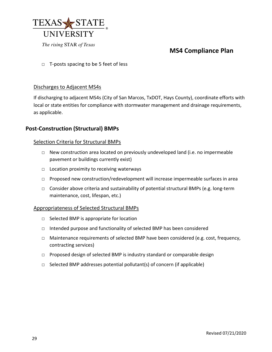

### **MS4 Compliance Plan**

 $\Box$  T-posts spacing to be 5 feet of less

#### Discharges to Adjacent MS4s

If discharging to adjacent MS4s (City of San Marcos, TxDOT, Hays County), coordinate efforts with local or state entities for compliance with stormwater management and drainage requirements, as applicable.

### **Post-Construction (Structural) BMPs**

#### Selection Criteria for Structural BMPs

- $\Box$  New construction area located on previously undeveloped land (i.e. no impermeable pavement or buildings currently exist)
- $\Box$  Location proximity to receiving waterways
- □ Proposed new construction/redevelopment will increase impermeable surfaces in area
- □ Consider above criteria and sustainability of potential structural BMPs (e.g. long-term maintenance, cost, lifespan, etc.)

#### Appropriateness of Selected Structural BMPs

- □ Selected BMP is appropriate for location
- □ Intended purpose and functionality of selected BMP has been considered
- □ Maintenance requirements of selected BMP have been considered (e.g. cost, frequency, contracting services)
- □ Proposed design of selected BMP is industry standard or comparable design
- $\Box$  Selected BMP addresses potential pollutant(s) of concern (if applicable)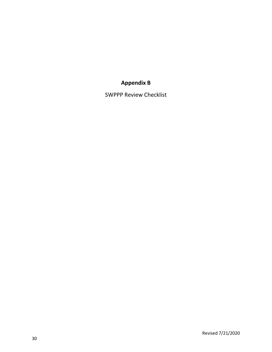### **Appendix B**

SWPPP Review Checklist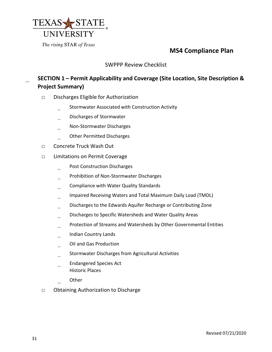

### **MS4 Compliance Plan**

### SWPPP Review Checklist

### \_ **SECTION 1 – Permit Applicability and Coverage (Site Location, Site Description & Project Summary)**

- □ Discharges Eligible for Authorization
	- \_ Stormwater Associated with Construction Activity
	- \_ Discharges of Stormwater
	- \_ Non-Stormwater Discharges
	- \_ Other Permitted Discharges
- □ Concrete Truck Wash Out
- □ Limitations on Permit Coverage
	- Post Construction Discharges
	- \_ Prohibition of Non-Stormwater Discharges
	- \_ Compliance with Water Quality Standards
	- Impaired Receiving Waters and Total Maximum Daily Load (TMDL)
	- \_ Discharges to the Edwards Aquifer Recharge or Contributing Zone
	- Discharges to Specific Watersheds and Water Quality Areas
	- Protection of Streams and Watersheds by Other Governmental Entities
	- \_ Indian Country Lands
	- \_ Oil and Gas Production
	- \_ Stormwater Discharges from Agricultural Activities
	- \_ Endangered Species Act Historic Places
	- \_ Other
- □ Obtaining Authorization to Discharge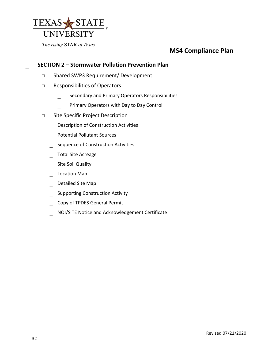

### **MS4 Compliance Plan**

### \_ **SECTION 2 – Stormwater Pollution Prevention Plan**

- □ Shared SWP3 Requirement/ Development
- □ Responsibilities of Operators
	- Secondary and Primary Operators Responsibilities
	- Primary Operators with Day to Day Control
- □ Site Specific Project Description
	- \_ Description of Construction Activities
	- \_ Potential Pollutant Sources
	- Sequence of Construction Activities
	- \_ Total Site Acreage
	- Site Soil Quality
	- Location Map
	- Detailed Site Map
	- \_ Supporting Construction Activity
	- Copy of TPDES General Permit
	- \_ NOI/SITE Notice and Acknowledgement Certificate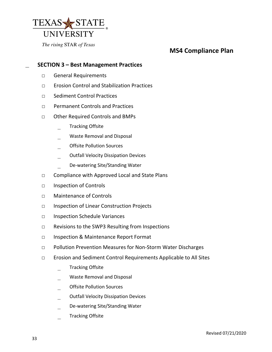

### **MS4 Compliance Plan**

### ͟ **SECTION 3 – Best Management Practices**

- □ General Requirements
- □ Erosion Control and Stabilization Practices
- □ Sediment Control Practices
- □ Permanent Controls and Practices
- □ Other Required Controls and BMPs
	- Tracking Offsite
	- Waste Removal and Disposal
	- \_ Offsite Pollution Sources
	- \_ Outfall Velocity Dissipation Devices
	- De-watering Site/Standing Water
- □ Compliance with Approved Local and State Plans
- □ Inspection of Controls
- □ Maintenance of Controls
- □ Inspection of Linear Construction Projects
- □ Inspection Schedule Variances
- □ Revisions to the SWP3 Resulting from Inspections
- □ Inspection & Maintenance Report Format
- □ Pollution Prevention Measures for Non-Storm Water Discharges
- □ Erosion and Sediment Control Requirements Applicable to All Sites
	- Tracking Offsite
	- Waste Removal and Disposal
	- \_ Offsite Pollution Sources
	- \_ Outfall Velocity Dissipation Devices
	- \_ De-watering Site/Standing Water
	- Tracking Offsite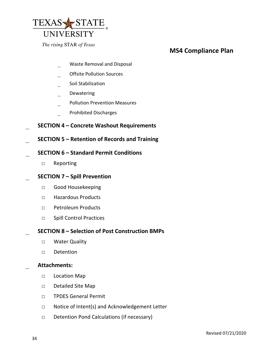

### **MS4 Compliance Plan**

- Waste Removal and Disposal
- \_ Offsite Pollution Sources
- \_ Soil Stabilization
- \_ Dewatering
- \_ Pollution Prevention Measures
- \_ Prohibited Discharges
- \_ **SECTION 4 Concrete Washout Requirements**
- \_ **SECTION 5 Retention of Records and Training**
- \_ **SECTION 6 Standard Permit Conditions**
	- □ Reporting
- \_ **SECTION 7 Spill Prevention**
	- □ Good Housekeeping
	- □ Hazardous Products
	- □ Petroleum Products
	- □ Spill Control Practices
- \_ **SECTION 8 Selection of Post Construction BMPs** 
	- □ Water Quality
	- □ Detention

#### \_ **Attachments:**

- □ Location Map
- □ Detailed Site Map
- □ TPDES General Permit
- □ Notice of Intent(s) and Acknowledgement Letter
- □ Detention Pond Calculations (if necessary)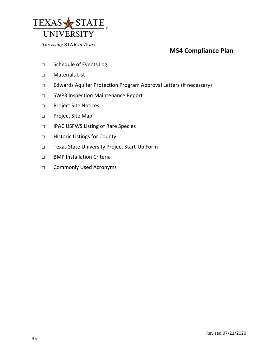

### **MS4 Compliance Plan**

- □ Schedule of Events Log
- □ Materials List
- □ Edwards Aquifer Protection Program Approval Letters (if necessary)
- □ SWP3 Inspection Maintenance Report
- □ Project Site Notices
- □ Project Site Map
- □ IPAC USFWS Listing of Rare Species
- □ Historic Listings for County
- □ Texas State University Project Start-Up Form
- □ BMP Installation Criteria
- □ Commonly Used Acronyms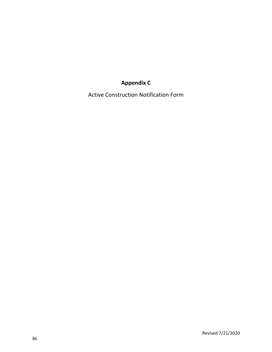# **Appendix C**

Active Construction Notification Form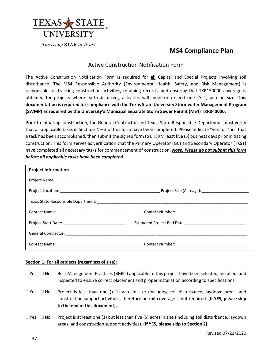

### **MS4 Compliance Plan**

#### Active Construction Notification Form

The Active Construction Notification Form is required for **all** Capital and Special Projects involving soil disturbance. The MS4 Responsible Authority (Environmental Health, Safety, and Risk Management) is responsible for tracking construction activities, retaining records, and ensuring that TXR150000 coverage is obtained for projects where earth-disturbing activities will meet or exceed one (≥ 1) acre in size. **This documentation is required for compliance with the Texas State University Stormwater Management Program (SWMP) as required by the University's Municipal Separate Storm Sewer Permit (MS4) TXR040000.**

Prior to initiating construction, the General Contractor and Texas State Responsible Department must verify that all applicable tasks in Sections  $1 - 3$  of this form have been completed. Please indicate "yes" or "no" that a task has been accomplished, then submit the signed form to EHSRM least five (5) business days prior initiating construction. This form serves as verification that the Primary Operator (GC) and Secondary Operator (TXST) have completed all necessary tasks for commencement of construction. *Note: Please do not submit this form before all applicable tasks have been completed.*

| <b>Project Information</b> |                                               |
|----------------------------|-----------------------------------------------|
|                            |                                               |
|                            |                                               |
|                            |                                               |
|                            |                                               |
|                            |                                               |
|                            |                                               |
|                            | Contact Name: Contact Number: Contact Number: |

#### **Section 1: For all projects (regardless of size):**

- $\Box$  Yes  $\Box$  No Best Management Practices (BMPs) applicable to this project have been selected, installed, and inspected to ensure correct placement and proper installation according to specifications.
- $\Box$  Yes  $\Box$  No Project is less than one (< 1) acre in size (including soil disturbance, laydown areas, and construction support activities), therefore permit coverage is not required. **(If YES, please skip to the end of this document).**
- $\Box$  Yes  $\Box$  No Project is at least one (1) but less than five (5) acres in size (including soil disturbance, laydown areas, and construction support activities). **(If YES, please skip to Section 2).**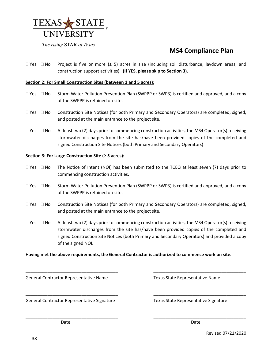

### **MS4 Compliance Plan**

 $□$  Yes  $□$  No Project is five or more (≥ 5) acres in size (including soil disturbance, laydown areas, and construction support activities). **(If YES, please skip to Section 3).**

#### **Section 2: For Small Construction Sites (between 1 and 5 acres):**

- $\Box$  Yes  $\Box$  No Storm Water Pollution Prevention Plan (SWPPP or SWP3) is certified and approved, and a copy of the SWPPP is retained on-site.
- $\Box$  Yes  $\Box$  No Construction Site Notices (for both Primary and Secondary Operators) are completed, signed, and posted at the main entrance to the project site.
- $\Box$  Yes  $\Box$  No At least two (2) days prior to commencing construction activities, the MS4 Operator(s) receiving stormwater discharges from the site has/have been provided copies of the completed and signed Construction Site Notices (both Primary and Secondary Operators)

#### **Section 3: For Large Construction Site (≥ 5 acres):**

- $\Box$  Yes  $\Box$  No The Notice of Intent (NOI) has been submitted to the TCEQ at least seven (7) days prior to commencing construction activities.
- $\Box$  Yes  $\Box$  No Storm Water Pollution Prevention Plan (SWPPP or SWP3) is certified and approved, and a copy of the SWPPP is retained on-site.
- $\Box$  Yes  $\Box$  No Construction Site Notices (for both Primary and Secondary Operators) are completed, signed, and posted at the main entrance to the project site.
- $\Box$  Yes  $\Box$  No At least two (2) days prior to commencing construction activities, the MS4 Operator(s) receiving stormwater discharges from the site has/have been provided copies of the completed and signed Construction Site Notices (both Primary and Secondary Operators) and provided a copy of the signed NOI.

\_\_\_\_\_\_\_\_\_\_\_\_\_\_\_\_\_\_\_\_\_\_\_\_\_\_\_\_\_\_\_\_\_\_\_\_\_\_ \_\_\_\_\_\_\_\_\_\_\_\_\_\_\_\_\_\_\_\_\_\_\_\_\_\_\_\_\_\_\_\_\_\_\_\_\_\_

\_\_\_\_\_\_\_\_\_\_\_\_\_\_\_\_\_\_\_\_\_\_\_\_\_\_\_\_\_\_\_\_\_\_\_\_\_\_ \_\_\_\_\_\_\_\_\_\_\_\_\_\_\_\_\_\_\_\_\_\_\_\_\_\_\_\_\_\_\_\_\_\_\_\_\_\_

\_\_\_\_\_\_\_\_\_\_\_\_\_\_\_\_\_\_\_\_\_\_\_\_\_\_\_\_\_\_\_\_\_\_\_\_\_\_ \_\_\_\_\_\_\_\_\_\_\_\_\_\_\_\_\_\_\_\_\_\_\_\_\_\_\_\_\_\_\_\_\_\_\_\_\_\_

#### **Having met the above requirements, the General Contractor is authorized to commence work on site.**

General Contractor Representative Name Texas State Representative Name

General Contractor Representative Signature Texas State Representative Signature

**Date** Date **Date** Date **Date** Date **Date** Date **Date** Date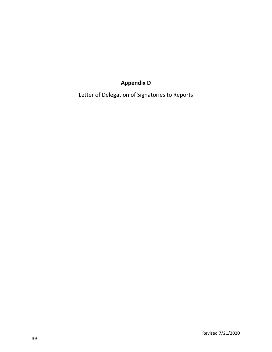# **Appendix D**

Letter of Delegation of Signatories to Reports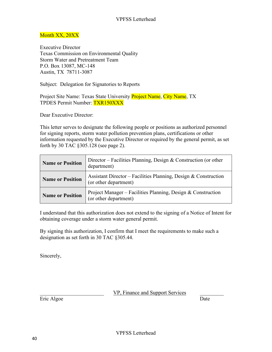### Month XX, 20XX

Executive Director Texas Commission on Environmental Quality Storm Water and Pretreatment Team P.O. Box 13087, MC-148 Austin, TX 78711-3087

Subject: Delegation for Signatories to Reports

Project Site Name: Texas State University Project Name, City Name, TX TPDES Permit Number: TXR150XXX

Dear Executive Director:

This letter serves to designate the following people or positions as authorized personnel for signing reports, storm water pollution prevention plans, certifications or other information requested by the Executive Director or required by the general permit, as set forth by 30 TAC §305.128 (see page 2).

| <b>Name or Position</b> | Director – Facilities Planning, Design & Construction (or other<br>department)           |
|-------------------------|------------------------------------------------------------------------------------------|
| <b>Name or Position</b> | Assistant Director – Facilities Planning, Design & Construction<br>(or other department) |
| <b>Name or Position</b> | Project Manager - Facilities Planning, Design & Construction<br>(or other department)    |

I understand that this authorization does not extend to the signing of a Notice of Intent for obtaining coverage under a storm water general permit.

By signing this authorization, I confirm that I meet the requirements to make such a designation as set forth in 30 TAC §305.44.

Sincerely,

VP, Finance and Support Services

Eric Algoe Date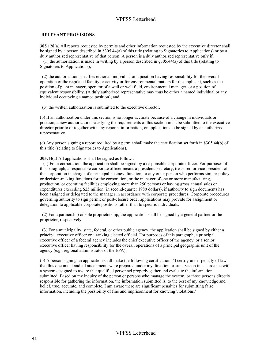#### VPFSS Letterhead

#### **RELEVANT PROVISIONS**

**305.128**(a) All reports requested by permits and other information requested by the executive director shall be signed by a person described in §305.44(a) of this title (relating to Signatories to Applications) or by a duly authorized representative of that person. A person is a duly authorized representative only if:

(1) the authorization is made in writing by a person described in §305.44(a) of this title (relating to Signatories to Applications);

(2) the authorization specifies either an individual or a position having responsibility for the overall operation of the regulated facility or activity or for environmental matters for the applicant, such as the position of plant manager, operator of a well or well field, environmental manager, or a position of equivalent responsibility. (A duly authorized representative may thus be either a named individual or any individual occupying a named position); and

(3) the written authorization is submitted to the executive director.

(b) If an authorization under this section is no longer accurate because of a change in individuals or position, a new authorization satisfying the requirements of this section must be submitted to the executive director prior to or together with any reports, information, or applications to be signed by an authorized representative.

(c) Any person signing a report required by a permit shall make the certification set forth in §305.44(b) of this title (relating to Signatories to Applications).

**305.44**(a) All applications shall be signed as follows.

(1) For a corporation, the application shall be signed by a responsible corporate officer. For purposes of this paragraph, a responsible corporate officer means a president, secretary, treasurer, or vice-president of the corporation in charge of a principal business function, or any other person who performs similar policy or decision-making functions for the corporation; or the manager of one or more manufacturing, production, or operating facilities employing more than 250 persons or having gross annual sales or expenditures exceeding \$25 million (in second-quarter 1980 dollars), if authority to sign documents has been assigned or delegated to the manager in accordance with corporate procedures. Corporate procedures governing authority to sign permit or post-closure order applications may provide for assignment or delegation to applicable corporate positions rather than to specific individuals.

(2) For a partnership or sole proprietorship, the application shall be signed by a general partner or the proprietor, respectively.

(3) For a municipality, state, federal, or other public agency, the application shall be signed by either a principal executive officer or a ranking elected official. For purposes of this paragraph, a principal executive officer of a federal agency includes the chief executive officer of the agency, or a senior executive officer having responsibility for the overall operations of a principal geographic unit of the agency (e.g., regional administrator of the EPA).

(b) A person signing an application shall make the following certification: "I certify under penalty of law that this document and all attachments were prepared under my direction or supervision in accordance with a system designed to assure that qualified personnel properly gather and evaluate the information submitted. Based on my inquiry of the person or persons who manage the system, or those persons directly responsible for gathering the information, the information submitted is, to the best of my knowledge and belief, true, accurate, and complete. I am aware there are significant penalties for submitting false information, including the possibility of fine and imprisonment for knowing violations."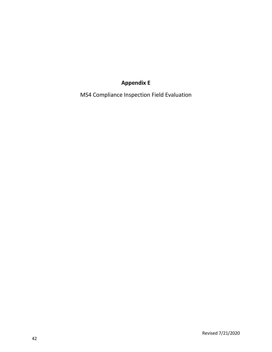### **Appendix E**

MS4 Compliance Inspection Field Evaluation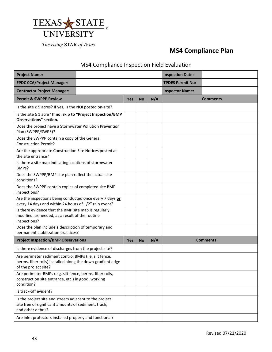

### **MS4 Compliance Plan**

### MS4 Compliance Inspection Field Evaluation

| <b>Project Name:</b>                                                                                                                        |  |            |                        |     | <b>Inspection Date:</b> |                 |
|---------------------------------------------------------------------------------------------------------------------------------------------|--|------------|------------------------|-----|-------------------------|-----------------|
| <b>FPDC CCA/Project Manager:</b>                                                                                                            |  |            |                        |     | <b>TPDES Permit No:</b> |                 |
| <b>Contractor Project Manager:</b>                                                                                                          |  |            | <b>Inspector Name:</b> |     |                         |                 |
| <b>Permit &amp; SWPPP Review</b>                                                                                                            |  | <b>Yes</b> | <b>No</b>              | N/A |                         | <b>Comments</b> |
| Is the site $\geq$ 5 acres? If yes, is the NOI posted on-site?                                                                              |  |            |                        |     |                         |                 |
| Is the site ≥ 1 acre? If no, skip to "Project Inspection/BMP<br><b>Observations"</b> section.                                               |  |            |                        |     |                         |                 |
| Does the project have a Stormwater Pollution Prevention<br>Plan (SWPPP/SWP3)?                                                               |  |            |                        |     |                         |                 |
| Does the SWPPP contain a copy of the General<br><b>Construction Permit?</b>                                                                 |  |            |                        |     |                         |                 |
| Are the appropriate Construction Site Notices posted at<br>the site entrance?                                                               |  |            |                        |     |                         |                 |
| Is there a site map indicating locations of stormwater<br>BMPs?                                                                             |  |            |                        |     |                         |                 |
| Does the SWPPP/BMP site plan reflect the actual site<br>conditions?                                                                         |  |            |                        |     |                         |                 |
| Does the SWPPP contain copies of completed site BMP<br>inspections?                                                                         |  |            |                        |     |                         |                 |
| Are the inspections being conducted once every 7 days or<br>every 14 days and within 24 hours of 1/2" rain event?                           |  |            |                        |     |                         |                 |
| Is there evidence that the BMP site map is regularly<br>modified, as needed, as a result of the routine<br>inspections?                     |  |            |                        |     |                         |                 |
| Does the plan include a description of temporary and<br>permanent stabilization practices?                                                  |  |            |                        |     |                         |                 |
| <b>Project Inspection/BMP Observations</b>                                                                                                  |  | <b>Yes</b> | <b>No</b>              | N/A |                         | <b>Comments</b> |
| Is there evidence of discharges from the project site?                                                                                      |  |            |                        |     |                         |                 |
| Are perimeter sediment control BMPs (i.e. silt fence,<br>berms, fiber rolls) installed along the down-gradient edge<br>of the project site? |  |            |                        |     |                         |                 |
| Are perimeter BMPs (e.g. silt fence, berms, fiber rolls,<br>construction site entrance, etc.) in good, working<br>condition?                |  |            |                        |     |                         |                 |
| Is track-off evident?                                                                                                                       |  |            |                        |     |                         |                 |
| Is the project site and streets adjacent to the project<br>site free of significant amounts of sediment, trash,<br>and other debris?        |  |            |                        |     |                         |                 |
| Are inlet protectors installed properly and functional?                                                                                     |  |            |                        |     |                         |                 |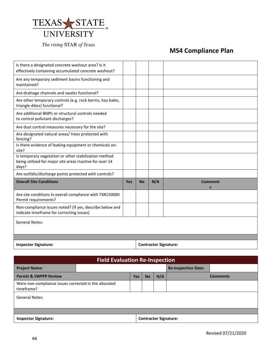

# **MS4 Compliance Plan**

| Is there a designated concrete washout area? Is it<br>effectively containing accumulated concrete washout?                 |            |           |     |                              |
|----------------------------------------------------------------------------------------------------------------------------|------------|-----------|-----|------------------------------|
| Are any temporary sediment basins functioning and<br>maintained?                                                           |            |           |     |                              |
| Are drainage channels and swales functional?                                                                               |            |           |     |                              |
| Are other temporary controls (e.g. rock berms, hay bales,<br>triangle dikes) functional?                                   |            |           |     |                              |
| Are additional BMPs or structural controls needed<br>to control pollutant discharges?                                      |            |           |     |                              |
| Are dust control measures necessary for the site?                                                                          |            |           |     |                              |
| Are designated natural areas/ trees protected with<br>fencing?                                                             |            |           |     |                              |
| Is there evidence of leaking equipment or chemicals on-<br>site?                                                           |            |           |     |                              |
| Is temporary vegetation or other stabilization method<br>being utilized for major site areas inactive for over 14<br>days? |            |           |     |                              |
| Are outfalls/discharge points protected with controls?                                                                     |            |           |     |                              |
| <b>Overall Site Conditions</b>                                                                                             | <b>Yes</b> | <b>No</b> | N/A | <b>Comment</b><br>S          |
| Are site conditions in overall compliance with TXR150000<br>Permit requirements?                                           |            |           |     |                              |
| Non-compliance issues noted? (If yes, describe below and<br>indicate timeframe for correcting issues)                      |            |           |     |                              |
| <b>General Notes:</b>                                                                                                      |            |           |     |                              |
|                                                                                                                            |            |           |     |                              |
| <b>Inspector Signature:</b>                                                                                                |            |           |     | <b>Contractor Signature:</b> |

| <b>Field Evaluation Re-Inspection</b>                               |  |            |           |     |                              |                 |
|---------------------------------------------------------------------|--|------------|-----------|-----|------------------------------|-----------------|
| <b>Project Name:</b>                                                |  |            |           |     | <b>Re-Inspection Date:</b>   |                 |
| <b>Permit &amp; SWPPP Review</b>                                    |  | <b>Yes</b> | <b>No</b> | N/A |                              | <b>Comments</b> |
| Were non-compliance issues corrected in the allocated<br>timeframe? |  |            |           |     |                              |                 |
| <b>General Notes:</b>                                               |  |            |           |     |                              |                 |
|                                                                     |  |            |           |     |                              |                 |
| <b>Inspector Signature:</b>                                         |  |            |           |     | <b>Contractor Signature:</b> |                 |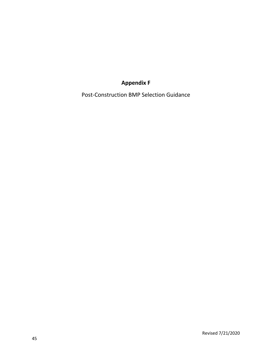### **Appendix F**

Post-Construction BMP Selection Guidance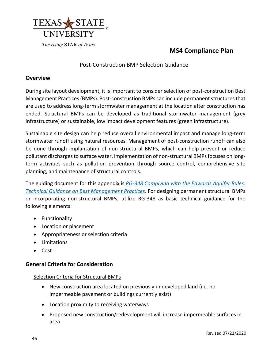

### **MS4 Compliance Plan**

### Post-Construction BMP Selection Guidance

### **Overview**

During site layout development, it is important to consider selection of post-construction Best Management Practices (BMPs). Post-construction BMPs can include permanent structures that are used to address long-term stormwater management at the location after construction has ended. Structural BMPs can be developed as traditional stormwater management (grey infrastructure) or sustainable, low impact development features (green infrastructure).

Sustainable site design can help reduce overall environmental impact and manage long-term stormwater runoff using natural resources. Management of post-construction runoff can also be done through implantation of non-structural BMPs, which can help prevent or reduce pollutant discharges to surface water. Implementation of non-structural BMPs focuses on longterm activities such as pollution prevention through source control, comprehensive site planning, and maintenance of structural controls.

The guiding document for this appendix is *[RG-348 Complying with the Edwards Aquifer Rules:](https://www.tceq.texas.gov/assets/public/comm_exec/pubs/rg/rg348/rg-348.pdf) [Technical Guidance on Best Management Practices](https://www.tceq.texas.gov/assets/public/comm_exec/pubs/rg/rg348/rg-348.pdf)*. For designing permanent structural BMPs or incorporating non-structural BMPs, utilize RG-348 as basic technical guidance for the following elements:

- Functionality
- Location or placement
- Appropriateness or selection criteria
- Limitations
- Cost

### **General Criteria for Consideration**

#### Selection Criteria for Structural BMPs

- New construction area located on previously undeveloped land (i.e. no impermeable pavement or buildings currently exist)
- Location proximity to receiving waterways
- Proposed new construction/redevelopment will increase impermeable surfaces in area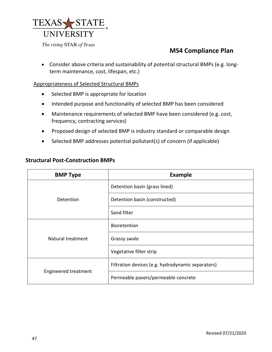

### **MS4 Compliance Plan**

• Consider above criteria and sustainability of potential structural BMPs (e.g. longterm maintenance, cost, lifespan, etc.)

#### Appropriateness of Selected Structural BMPs

- Selected BMP is appropriate for location
- Intended purpose and functionality of selected BMP has been considered
- Maintenance requirements of selected BMP have been considered (e.g. cost, frequency, contracting services)
- Proposed design of selected BMP is industry standard or comparable design
- Selected BMP addresses potential pollutant(s) of concern (if applicable)

| <b>BMP Type</b>      | <b>Example</b>                                    |  |  |  |  |  |
|----------------------|---------------------------------------------------|--|--|--|--|--|
| Detention            | Detention basin (grass lined)                     |  |  |  |  |  |
|                      | Detention basin (constructed)                     |  |  |  |  |  |
|                      | Sand filter                                       |  |  |  |  |  |
| Natural treatment    | <b>Bioretention</b>                               |  |  |  |  |  |
|                      | Grassy swale                                      |  |  |  |  |  |
|                      | Vegetative filter strip                           |  |  |  |  |  |
| Engineered treatment | Filtration devices (e.g. hydrodynamic separators) |  |  |  |  |  |
|                      | Permeable pavers/permeable concrete               |  |  |  |  |  |

### **Structural Post-Construction BMPs**